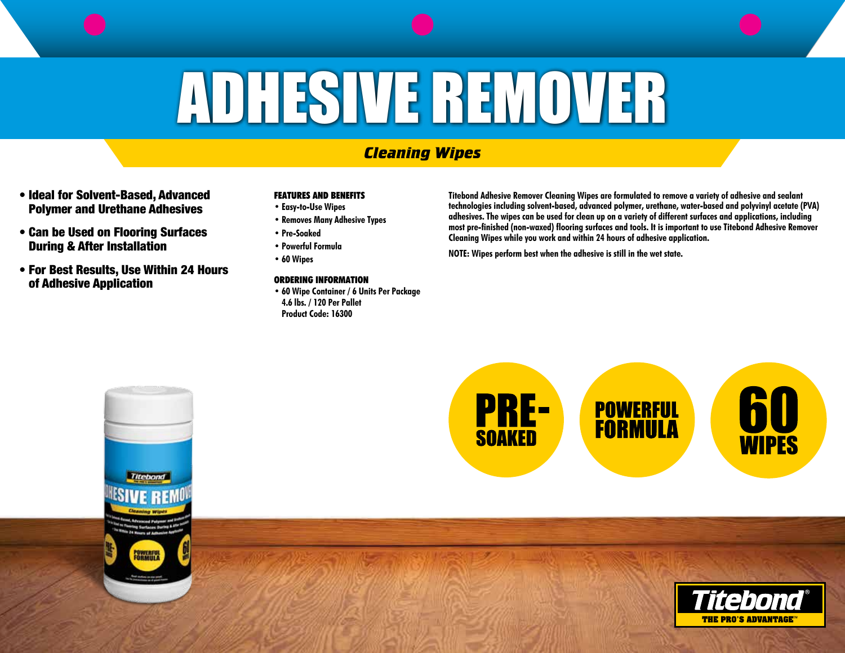# ADHESIVE REMOVER

## *Cleaning Wipes*

- Ideal for Solvent-Based, Advanced Polymer and Urethane Adhesives
- Can be Used on Flooring Surfaces During & After Installation
- For Best Results, Use Within 24 Hours of Adhesive Application

## **FEATURES AND BENEFITS**

- **• Easy-to-Use Wipes**
- **• Removes Many Adhesive Types**
- **• Pre-Soaked**
- **• Powerful Formula**
- **• 60 Wipes**

## **ORDERING INFORMATION**

**• 60 Wipe Container / 6 Units Per Package 4.6 lbs. / 120 Per Pallet Product Code: 16300** 

**Titebond Adhesive Remover Cleaning Wipes are formulated to remove a variety of adhesive and sealant technologies including solvent-based, advanced polymer, urethane, water-based and polyvinyl acetate (PVA) adhesives. The wipes can be used for clean up on a variety of different surfaces and applications, including most pre-finished (non-waxed) flooring surfaces and tools. It is important to use Titebond Adhesive Remover Cleaning Wipes while you work and within 24 hours of adhesive application.** 

**NOTE: Wipes perform best when the adhesive is still in the wet state.**

## **PRE-**<br>SOAKED **POWERFUL**<br>**FORMULA**